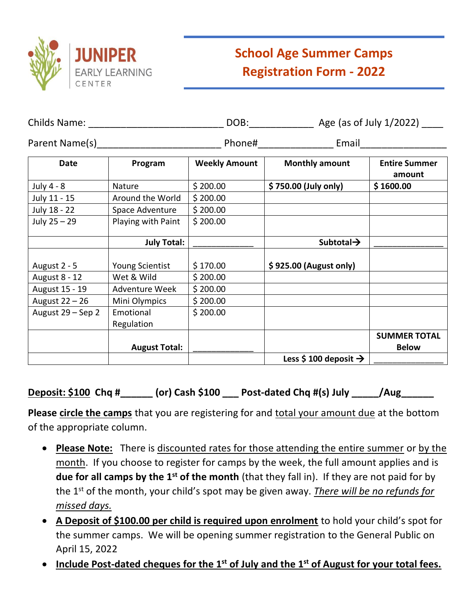

# **School Age Summer Camps Registration Form - 2022**

| Childs Name:      |                                | DOB:                 |                                   | Age (as of July 1/2022)             |
|-------------------|--------------------------------|----------------------|-----------------------------------|-------------------------------------|
|                   | Parent Name(s) Parent Name (s) |                      | Phone# Email                      |                                     |
| <b>Date</b>       | Program                        | <b>Weekly Amount</b> | <b>Monthly amount</b>             | <b>Entire Summer</b><br>amount      |
| July 4 - 8        | Nature                         | \$200.00             | \$750.00 (July only)              | \$1600.00                           |
| July 11 - 15      | Around the World               | \$200.00             |                                   |                                     |
| July 18 - 22      | Space Adventure                | \$200.00             |                                   |                                     |
| July 25 - 29      | Playing with Paint             | \$200.00             |                                   |                                     |
|                   | <b>July Total:</b>             |                      | Subtotal $\rightarrow$            |                                     |
| August 2 - 5      | Young Scientist                | \$170.00             | \$925.00 (August only)            |                                     |
| August 8 - 12     | Wet & Wild                     | \$200.00             |                                   |                                     |
| August 15 - 19    | Adventure Week                 | \$200.00             |                                   |                                     |
| August 22 - 26    | Mini Olympics                  | \$200.00             |                                   |                                     |
| August 29 - Sep 2 | Emotional<br>Regulation        | \$200.00             |                                   |                                     |
|                   | <b>August Total:</b>           |                      |                                   | <b>SUMMER TOTAL</b><br><b>Below</b> |
|                   |                                |                      | Less \$ 100 deposit $\rightarrow$ |                                     |

## **Deposit: \$100 Chq #\_\_\_\_\_\_ (or) Cash \$100 \_\_\_ Post-dated Chq #(s) July \_\_\_\_\_/Aug\_\_\_\_\_\_**

Please circle the camps that you are registering for and total your amount due at the bottom of the appropriate column.

- **Please Note:** There is discounted rates for those attending the entire summer or by the month. If you choose to register for camps by the week, the full amount applies and is **due for all camps by the 1st of the month** (that they fall in). If they are not paid for by the 1st of the month, your child's spot may be given away. *There will be no refunds for missed days.*
- **A Deposit of \$100.00 per child is required upon enrolment** to hold your child's spot for the summer camps. We will be opening summer registration to the General Public on April 15, 2022
- **Include Post-dated cheques for the 1st of July and the 1st of August for your total fees.**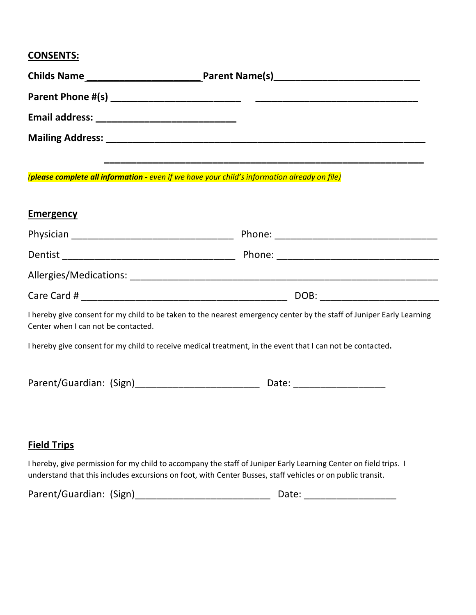## **CONSENTS:**

| <b>Childs Name</b><br><u> 1989 - Johann John Stone, meilich aus der Stone († 1908)</u> |                                                                                                                       |  |
|----------------------------------------------------------------------------------------|-----------------------------------------------------------------------------------------------------------------------|--|
|                                                                                        |                                                                                                                       |  |
|                                                                                        |                                                                                                                       |  |
|                                                                                        |                                                                                                                       |  |
|                                                                                        |                                                                                                                       |  |
|                                                                                        | <u> 2005 - Antonio Antonio Antonio Antonio Antonio Antonio Antonio Antonio Antonio Antonio Antonio Antonio Antoni</u> |  |

*(please complete all information - even if we have your child's information already on file)*

| Emergency                                                                                                                                                    |                                |  |  |
|--------------------------------------------------------------------------------------------------------------------------------------------------------------|--------------------------------|--|--|
|                                                                                                                                                              |                                |  |  |
|                                                                                                                                                              |                                |  |  |
|                                                                                                                                                              |                                |  |  |
|                                                                                                                                                              | DOB: _________________________ |  |  |
| I hereby give consent for my child to be taken to the nearest emergency center by the staff of Juniper Early Learning<br>Center when I can not be contacted. |                                |  |  |
| I hereby give consent for my child to receive medical treatment, in the event that I can not be contacted.                                                   |                                |  |  |
|                                                                                                                                                              |                                |  |  |
|                                                                                                                                                              |                                |  |  |
|                                                                                                                                                              |                                |  |  |

## **Field Trips**

I hereby, give permission for my child to accompany the staff of Juniper Early Learning Center on field trips. I understand that this includes excursions on foot, with Center Busses, staff vehicles or on public transit.

| Parent/Guardian: (Sign) |  |
|-------------------------|--|
|-------------------------|--|